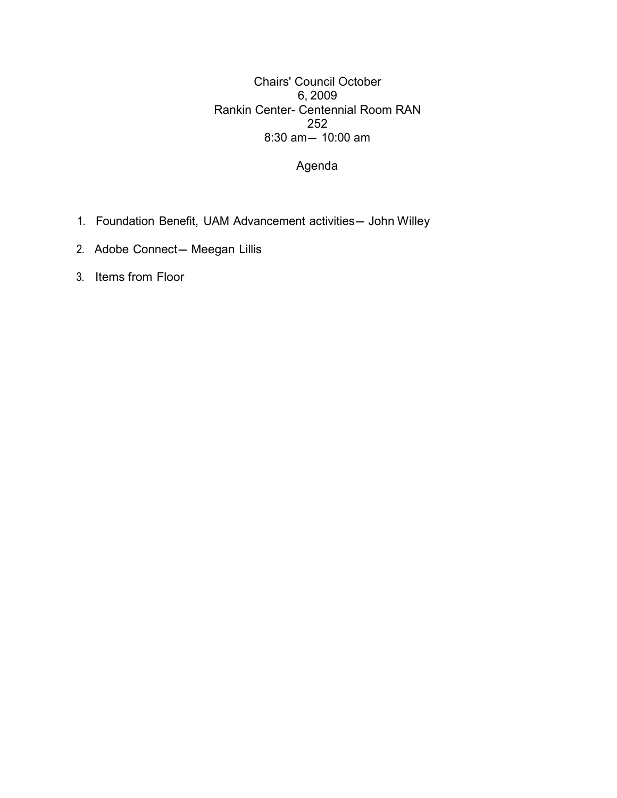6, 2009 8:30 am- 10:00 am Chairs' Council October Rankin Center- Centennial Room RAN 252

Agenda

- 1. Foundation Benefit, UAM Advancement activities— John Willey
- 2. Adobe Connect— Meegan Lillis
- 3. Items from Floor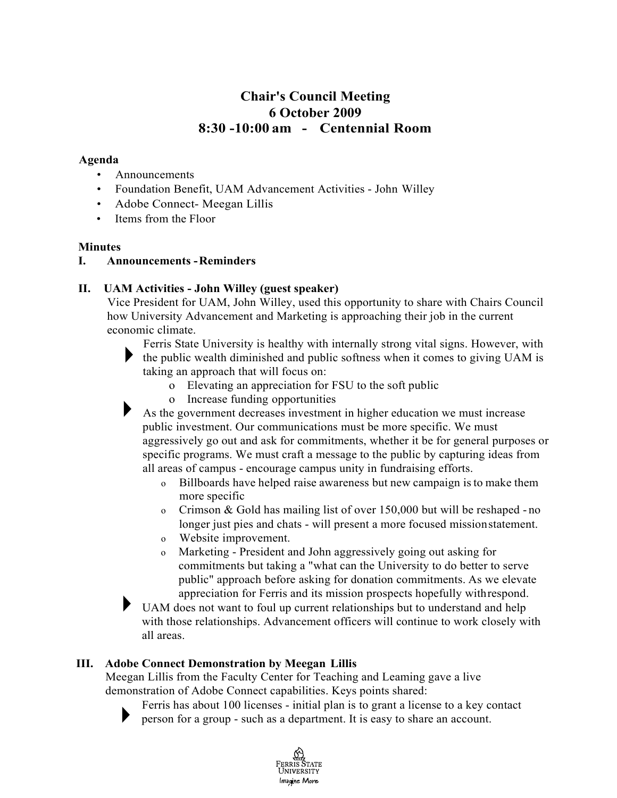# **8:30 -10:00 am - Centennial Room Chair's Council Meeting 6 October 2009**

#### **Agenda**

- Announcements
- Foundation Benefit, UAM Advancement Activities John Willey
- Adobe Connect- Meegan Lillis
- Items from the Floor

#### **Minutes**

## **I. Announcements -Reminders**

## **II. UAM Activities - John Willey (guest speaker)**

 Vice President for UAM, John Willey, used this opportunity to share with Chairs Council how University Advancement and Marketing is approaching their job in the current economic climate.

 Ferris State University is healthy with internally strong vital signs. However, with  $\blacktriangleright$  the public wealth diminished and public softness when it comes to giving UAM is taking an approach that will focus on:

- o Elevating an appreciation for FSU to the soft public
- o Increase funding opportunities
- ► As the government decreases investment in higher education we must increase aggressively go out and ask for commitments, whether it be for general purposes or specific programs. We must craft a message to the public by capturing ideas from all areas of campus - encourage campus unity in fundraising efforts. public investment. Our communications must be more specific. We must
	- o Billboards have helped raise awareness but new campaign is to make them more specific
	- o Crimson & Gold has mailing list of over 150,000 but will be reshaped no longer just pies and chats - will present a more focused missionstatement.
	- o Website improvement.
	- o Marketing President and John aggressively going out asking for public" approach before asking for donation commitments. As we elevate appreciation for Ferris and its mission prospects hopefully withrespond. commitments but taking a "what can the University to do better to serve

 ► UAM does not want to foul up current relationships but to understand and help with those relationships. Advancement officers will continue to work closely with all areas.

## **III. Adobe Connect Demonstration by Meegan Lillis**

 Meegan Lillis from the Faculty Center for Teaching and Leaming gave a live demonstration of Adobe Connect capabilities. Keys points shared:



 ► person for a group - such as a department. It is easy to share an account. Ferris has about 100 licenses - initial plan is to grant a license to a key contact